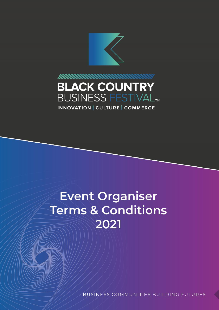

# **BLACK COUNTRY BUSINESS FESTIVAL<sup>IM</sup>** INNOVATION CULTURE COMMERCE

# **Event Organiser Terms & Conditions** 2021

**BUSINESS COMMUNITIES BUILDING FUTURES**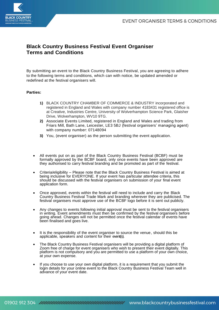

## **Black Country Business Festival Event Organiser Terms and Conditions**

By submitting an event to the Black Country Business Festival, you are agreeing to adhere to the following terms and conditions, which can with notice, be updated amended or redefined at the festival organisers will.

#### **Parties:**

- **1)** BLACK COUNTRY CHAMBER OF COMMERCE & INDUSTRY incorporated and registered in England and Wales with company number 4183431 registered office is at Creative, Industries Centre, University of Wolverhampton Science Park, Glaisher Drive, Wolverhampton, WV10 9TG.
- **2)** Associate Events Limited, registered in England and Wales and trading from Friars Mill, Bath Lane, Leicester, LE3 5BJ (festival organisers' managing agent) with company number: 07148094
- **3)** You, (event organiser) as the person submitting the event application.
- All events put on as part of the Black Country Business Festival (BCBF) must be formally approved by the BCBF board, only once events have been approved are they authorised to carry festival branding and be promoted as part of the festival.
- Criteria/eligibility Please note that the Black Country Business Festival is aimed at being inclusive for EVERYONE. If your event has particular attendee criteria, this should be discussed with the festival organisers on submission of your final event application form.
- Once approved, events within the festival will need to include and carry the Black Country Business Festival Trade Mark and branding wherever they are publicised. The festival organisers must approve use of the BCBF logo before it is sent out publicly.
- Any changes to events following initial approval must be sent to the festival organisers in writing. Event amendments must then be confirmed by the festival organisers before going ahead. Changes will not be permitted once the festival calendar of events have been finalised and goes live.
- It is the responsibility of the event organiser to source the venue, should this be applicable, speakers and content for their event(s).
- The Black Country Business Festival organisers will be providing a digital platform of Zoom free of charge for event organisers who wish to present their event digitally. This platform is not compulsory and you are permitted to use a platform of your own choice, at your own expense.
- If you choose to use your own digital platform, it is a requirement that you submit the login details for your online event to the Black Country Business Festival Team well in advance of your event date.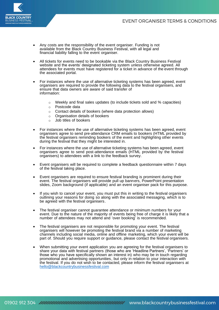### EVENT ORGANISER TERMS & CONDITIONS



- Any costs are the responsibility of the event organiser. Funding is not available from the Black Country Business Festival, with all legal and financial liability falling to the event organiser.
- All tickets for events need to be bookable via the Black Country Business Festival website and the events' designated ticketing system unless otherwise agreed. All attendees for events must have registered for a ticket in advance of the event through the associated portal.
- For instances where the use of alternative ticketing systems has been agreed, event organisers are required to provide the following data to the festival organisers, and ensure that data owners are aware of said transfer of information:
	- o Weekly and final sales updates (to include tickets sold and % capacities)
	- o Postcode data
	- o Contact details of bookers (where data protection allows)
	- o Organisation details of bookers
	- o Job titles of bookers
- For instances where the use of alternative ticketing systems has been agreed, event organisers agree to send pre-attendance CRM emails to bookers (HTML provided by the festival organisers reminding bookers of the event and highlighting other events during the festival that they might be interested in.
- For instances where the use of alternative ticketing systems has been agreed, event organisers agree to send post-attendance emails (HTML provided by the festival organisers) to attendees with a link to the feedback survey.
- Event organisers will be required to complete a feedback questionnaire within 7 days of the festival taking place.
- Event organisers are required to ensure festival branding is prominent during their event. The festival organisers will provide pull up banners, PowerPoint presentation slides, Zoom background (if applicable) and an event organiser pack for this purpose.
- If you wish to cancel your event, you must put this in writing to the festival organisers outlining your reasons for doing so along with the associated messaging, which is to be agreed with the festival organisers.
- The festival organiser cannot guarantee attendance or minimum numbers for your event. Due to the nature of the majority of events being free of charge it is likely that a number of attendees may not attend and 'over booking' is recommended.
- The festival organisers are not responsible for promoting your event. The festival organisers will however be promoting the festival brand via a number of marketing channels including social media, online and offline marketing, which your event will be part of. Should you require support or guidance, please contact the festival organisers.
- When submitting your event application you are agreeing for the festival organisers to share your data with festival partners (those who are 'Headline Partners', 'Partners' or those who you have specifically shown an interest in) who may be in touch regarding promotional and advertising opportunities, but only in relation to your interaction with the festival. If you do not wish to be contacted, please inform the festival organisers at hello@blackcountrybusinessfestival.com